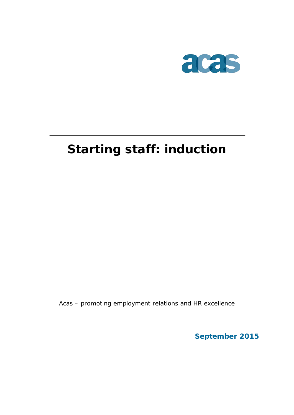

# **Starting staff: induction**

Acas – promoting employment relations and HR excellence

**September 2015**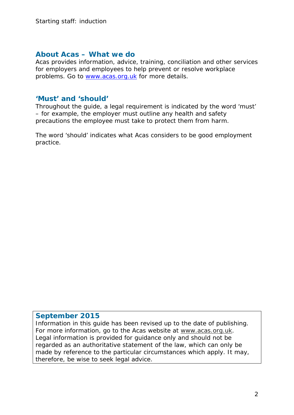### **About Acas – What we do**

Acas provides information, advice, training, conciliation and other services for employers and employees to help prevent or resolve workplace problems. Go to [www.acas.org.uk](http://www.acas.org.uk/) for more details.

### **'Must' and 'should'**

Throughout the guide, a legal requirement is indicated by the word 'must' – for example, the employer must outline any health and safety precautions the employee must take to protect them from harm.

The word 'should' indicates what Acas considers to be good employment practice.

### **September 2015**

Information in this guide has been revised up to the date of publishing. For more information, go to the Acas website at www.acas.org.uk. Legal information is provided for guidance only and should not be regarded as an authoritative statement of the law, which can only be made by reference to the particular circumstances which apply. It may, therefore, be wise to seek legal advice.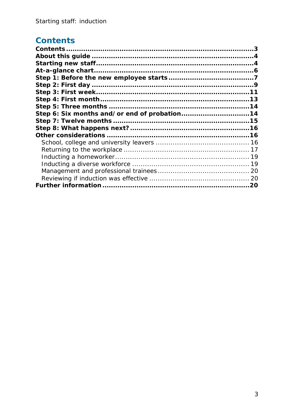# <span id="page-2-0"></span>**Contents**

| Step 6: Six months and/or end of probation14 |  |
|----------------------------------------------|--|
|                                              |  |
|                                              |  |
|                                              |  |
|                                              |  |
|                                              |  |
|                                              |  |
|                                              |  |
|                                              |  |
|                                              |  |
|                                              |  |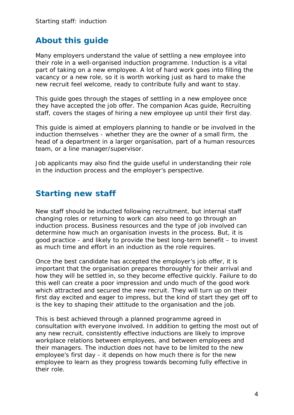### <span id="page-3-0"></span>**About this guide**

Many employers understand the value of settling a new employee into their role in a well-organised induction programme. Induction is a vital part of taking on a new employee. A lot of hard work goes into filling the vacancy or a new role, so it is worth working just as hard to make the new recruit feel welcome, ready to contribute fully and want to stay.

This guide goes through the stages of settling in a new employee once they have accepted the job offer. The companion Acas guide, Recruiting staff, covers the stages of hiring a new employee up until their first day.

This guide is aimed at employers planning to handle or be involved in the induction themselves - whether they are the owner of a small firm, the head of a department in a larger organisation, part of a human resources team, or a line manager/supervisor.

Job applicants may also find the guide useful in understanding their role in the induction process and the employer's perspective.

### <span id="page-3-1"></span>**Starting new staff**

New staff should be inducted following recruitment, but internal staff changing roles or returning to work can also need to go through an induction process. Business resources and the type of job involved can determine how much an organisation invests in the process. But, it is good practice - and likely to provide the best long-term benefit – to invest as much time and effort in an induction as the role requires.

Once the best candidate has accepted the employer's job offer, it is important that the organisation prepares thoroughly for their arrival and how they will be settled in, so they become effective quickly. Failure to do this well can create a poor impression and undo much of the good work which attracted and secured the new recruit. They will turn up on their first day excited and eager to impress, but the kind of start they get off to is the key to shaping their attitude to the organisation and the job.

This is best achieved through a planned programme agreed in consultation with everyone involved. In addition to getting the most out of any new recruit, consistently effective inductions are likely to improve workplace relations between employees, and between employees and their managers. The induction does not have to be limited to the new employee's first day - it depends on how much there is for the new employee to learn as they progress towards becoming fully effective in their role.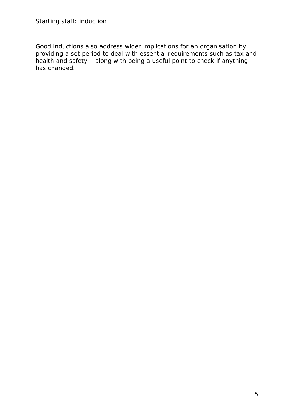Good inductions also address wider implications for an organisation by providing a set period to deal with essential requirements such as tax and health and safety – along with being a useful point to check if anything has changed.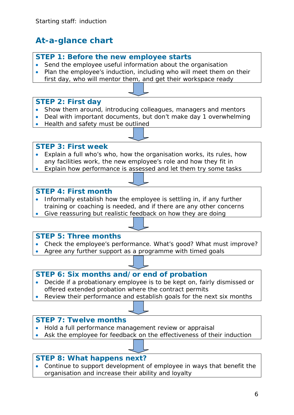# <span id="page-5-0"></span>**At-a-glance chart**

### **STEP 1: Before the new employee starts**

- Send the employee useful information about the organisation
- Plan the employee's induction, including who will meet them on their first day, who will mentor them, and get their workspace ready

### **STEP 2: First day**

- Show them around, introducing colleagues, managers and mentors
- Deal with important documents, but don't make day 1 overwhelming
- Health and safety must be outlined

#### **STEP 3: First week**

- Explain a full who's who, how the organisation works, its rules, how any facilities work, the new employee's role and how they fit in
- Explain how performance is assessed and let them try some tasks

#### **STEP 4: First month**

- Informally establish how the employee is settling in, if any further training or coaching is needed, and if there are any other concerns
- Give reassuring but realistic feedback on how they are doing

### **STEP 5: Three months**

- Check the employee's performance. What's good? What must improve?
- Agree any further support as a programme with timed goals

### **STEP 6: Six months and/or end of probation**

- Decide if a probationary employee is to be kept on, fairly dismissed or offered extended probation where the contract permits
- Review their performance and establish goals for the next six months

### **STEP 7: Twelve months**

- Hold a full performance management review or appraisal
- Ask the employee for feedback on the effectiveness of their induction

### **STEP 8: What happens next?**

• Continue to support development of employee in ways that benefit the organisation and increase their ability and loyalty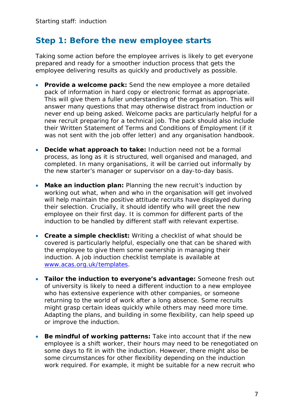### <span id="page-6-0"></span>**Step 1: Before the new employee starts**

Taking some action before the employee arrives is likely to get everyone prepared and ready for a smoother induction process that gets the employee delivering results as quickly and productively as possible.

- **Provide a welcome pack:** Send the new employee a more detailed pack of information in hard copy or electronic format as appropriate. This will give them a fuller understanding of the organisation. This will answer many questions that may otherwise distract from induction or never end up being asked. Welcome packs are particularly helpful for a new recruit preparing for a technical job. The pack should also include their Written Statement of Terms and Conditions of Employment (if it was not sent with the job offer letter) and any organisation handbook.
- **Decide what approach to take:** Induction need not be a formal process, as long as it is structured, well organised and managed, and completed. In many organisations, it will be carried out informally by the new starter's manager or supervisor on a day-to-day basis.
- **Make an induction plan:** Planning the new recruit's induction by working out what, when and who in the organisation will get involved will help maintain the positive attitude recruits have displayed during their selection. Crucially, it should identify who will greet the new employee on their first day. It is common for different parts of the induction to be handled by different staff with relevant expertise.
- **Create a simple checklist:** Writing a checklist of what should be covered is particularly helpful, especially one that can be shared with the employee to give them some ownership in managing their induction. A job induction checklist template is available at [www.acas.org.uk/templates.](http://www.acas.org.uk/templates)
- **Tailor the induction to everyone's advantage:** Someone fresh out of university is likely to need a different induction to a new employee who has extensive experience with other companies, or someone returning to the world of work after a long absence. Some recruits might grasp certain ideas quickly while others may need more time. Adapting the plans, and building in some flexibility, can help speed up or improve the induction.
- **Be mindful of working patterns:** Take into account that if the new employee is a shift worker, their hours may need to be renegotiated on some days to fit in with the induction. However, there might also be some circumstances for other flexibility depending on the induction work required. For example, it might be suitable for a new recruit who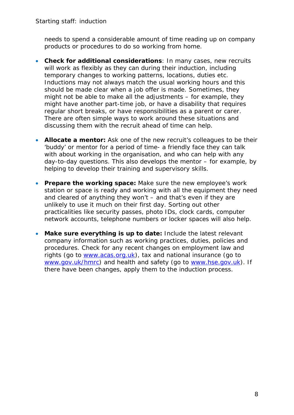needs to spend a considerable amount of time reading up on company products or procedures to do so working from home.

- **Check for additional considerations**: In many cases, new recruits will work as flexibly as they can during their induction, including temporary changes to working patterns, locations, duties etc. Inductions may not always match the usual working hours and this should be made clear when a job offer is made. Sometimes, they might not be able to make all the adjustments – for example, they might have another part-time job, or have a disability that requires regular short breaks, or have responsibilities as a parent or carer. There are often simple ways to work around these situations and discussing them with the recruit ahead of time can help.
- **Allocate a mentor:** Ask one of the new recruit's colleagues to be their 'buddy' or mentor for a period of time- a friendly face they can talk with about working in the organisation, and who can help with any day-to-day questions. This also develops the mentor – for example, by helping to develop their training and supervisory skills.
- **Prepare the working space:** Make sure the new employee's work station or space is ready and working with all the equipment they need and cleared of anything they won't – and that's even if they are unlikely to use it much on their first day. Sorting out other practicalities like security passes, photo IDs, clock cards, computer network accounts, telephone numbers or locker spaces will also help.
- **Make sure everything is up to date:** Include the latest relevant company information such as working practices, duties, policies and procedures. Check for any recent changes on employment law and rights (go to [www.acas.org.uk\)](http://www.acas.org.uk/), tax and national insurance (go to [www.gov.uk/hmrc\)](http://www.gov.uk/hmrc) and health and safety (go to [www.hse.gov.uk\)](http://www.hse.gov.uk/). If there have been changes, apply them to the induction process.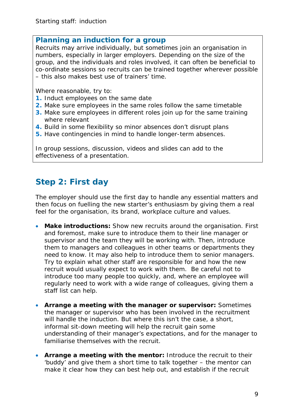### **Planning an induction for a group**

Recruits may arrive individually, but sometimes join an organisation in numbers, especially in larger employers. Depending on the size of the group, and the individuals and roles involved, it can often be beneficial to co-ordinate sessions so recruits can be trained together wherever possible – this also makes best use of trainers' time.

Where reasonable, try to:

- **1.** Induct employees on the same date
- **2.** Make sure employees in the same roles follow the same timetable
- **3.** Make sure employees in different roles join up for the same training where relevant
- **4.** Build in some flexibility so minor absences don't disrupt plans
- **5.** Have contingencies in mind to handle longer-term absences.

In group sessions, discussion, videos and slides can add to the effectiveness of a presentation.

# <span id="page-8-0"></span>**Step 2: First day**

The employer should use the first day to handle any essential matters and then focus on fuelling the new starter's enthusiasm by giving them a real feel for the organisation, its brand, workplace culture and values.

- **Make introductions:** Show new recruits around the organisation. First and foremost, make sure to introduce them to their line manager or supervisor and the team they will be working with. Then, introduce them to managers and colleagues in other teams or departments they need to know. It may also help to introduce them to senior managers. Try to explain what other staff are responsible for and how the new recruit would usually expect to work with them. Be careful not to introduce too many people too quickly, and, where an employee will regularly need to work with a wide range of colleagues, giving them a staff list can help.
- **Arrange a meeting with the manager or supervisor:** Sometimes the manager or supervisor who has been involved in the recruitment will handle the induction. But where this isn't the case, a short, informal sit-down meeting will help the recruit gain some understanding of their manager's expectations, and for the manager to familiarise themselves with the recruit.
- **Arrange a meeting with the mentor:** Introduce the recruit to their 'buddy' and give them a short time to talk together – the mentor can make it clear how they can best help out, and establish if the recruit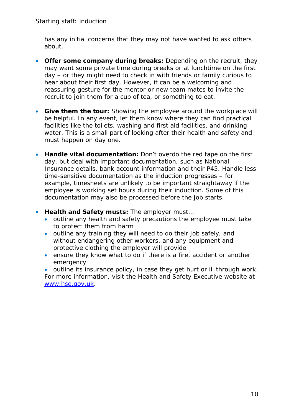has any initial concerns that they may not have wanted to ask others about.

- **Offer some company during breaks:** Depending on the recruit, they may want some private time during breaks or at lunchtime on the first day – or they might need to check in with friends or family curious to hear about their first day. However, it can be a welcoming and reassuring gesture for the mentor or new team mates to invite the recruit to join them for a cup of tea, or something to eat.
- **Give them the tour:** Showing the employee around the workplace will be helpful. In any event, let them know where they can find practical facilities like the toilets, washing and first aid facilities, and drinking water. This is a small part of looking after their health and safety and must happen on day one.
- **Handle vital documentation:** Don't overdo the red tape on the first day, but deal with important documentation, such as National Insurance details, bank account information and their P45. Handle less time-sensitive documentation as the induction progresses – for example, timesheets are unlikely to be important straightaway if the employee is working set hours during their induction. Some of this documentation may also be processed before the job starts.
- **Health and Safety musts:** The employer must…
	- outline any health and safety precautions the employee must take to protect them from harm
	- outline any training they will need to do their job safely, and without endangering other workers, and any equipment and protective clothing the employer will provide
	- ensure they know what to do if there is a fire, accident or another emergency

outline its insurance policy, in case they get hurt or ill through work. For more information, visit the Health and Safety Executive website at [www.hse.gov.uk.](http://www.hse.gov.uk/)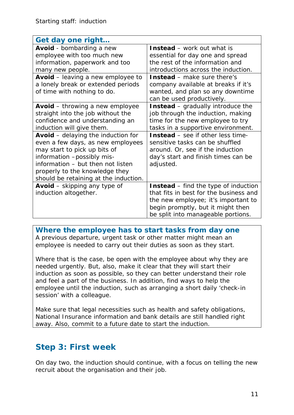| Get day one right                                                    |                                             |  |
|----------------------------------------------------------------------|---------------------------------------------|--|
| <b>Avoid</b> - bombarding a new                                      | <b>Instead</b> – work out what is           |  |
| employee with too much new                                           | essential for day one and spread            |  |
| information, paperwork and too                                       | the rest of the information and             |  |
| many new people.                                                     | introductions across the induction.         |  |
| <b>Avoid</b> – leaving a new employee to                             | <b>Instead</b> – make sure there's          |  |
| a lonely break or extended periods                                   | company available at breaks if it's         |  |
| of time with nothing to do.                                          | wanted, and plan so any downtime            |  |
|                                                                      | can be used productively.                   |  |
| <b>Avoid</b> – throwing a new employee                               | <b>Instead</b> – gradually introduce the    |  |
| straight into the job without the                                    | job through the induction, making           |  |
| confidence and understanding an                                      | time for the new employee to try            |  |
| induction will give them.                                            | tasks in a supportive environment.          |  |
| <b>Avoid</b> – delaying the induction for                            | <b>Instead</b> – see if other less time-    |  |
| even a few days, as new employees<br>sensitive tasks can be shuffled |                                             |  |
| may start to pick up bits of<br>around. Or, see if the induction     |                                             |  |
| information -possibly mis-                                           | day's start and finish times can be         |  |
| information - but then not listen<br>adjusted.                       |                                             |  |
| properly to the knowledge they                                       |                                             |  |
| should be retaining at the induction.                                |                                             |  |
| <b>Avoid</b> – skipping any type of                                  | <b>Instead</b> – find the type of induction |  |
| induction altogether.                                                | that fits in best for the business and      |  |
|                                                                      | the new employee; it's important to         |  |
|                                                                      | begin promptly, but it might then           |  |
|                                                                      | be split into manageable portions.          |  |

**Where the employee has to start tasks from day one** A previous departure, urgent task or other matter might mean an employee is needed to carry out their duties as soon as they start.

Where that is the case, be open with the employee about why they are needed urgently. But, also, make it clear that they will start their induction as soon as possible, so they can better understand their role and feel a part of the business. In addition, find ways to help the employee until the induction, such as arranging a short daily 'check-in session' with a colleague.

Make sure that legal necessities such as health and safety obligations, National Insurance information and bank details are still handled right away. Also, commit to a future date to start the induction.

# <span id="page-10-0"></span>**Step 3: First week**

On day two, the induction should continue, with a focus on telling the new recruit about the organisation and their job.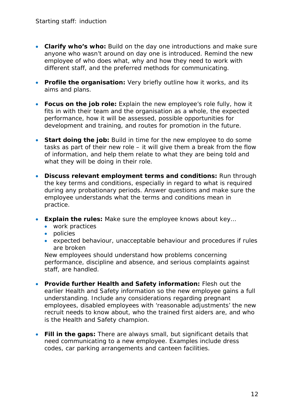- **Clarify who's who:** Build on the day one introductions and make sure anyone who wasn't around on day one is introduced. Remind the new employee of who does what, why and how they need to work with different staff, and the preferred methods for communicating.
- **Profile the organisation:** Very briefly outline how it works, and its aims and plans.
- **Focus on the job role:** Explain the new employee's role fully, how it fits in with their team and the organisation as a whole, the expected performance, how it will be assessed, possible opportunities for development and training, and routes for promotion in the future.
- **Start doing the job:** Build in time for the new employee to do some tasks as part of their new role – it will give them a break from the flow of information, and help them relate to what they are being told and what they will be doing in their role.
- **Discuss relevant employment terms and conditions:** Run through the key terms and conditions, especially in regard to what is required during any probationary periods. Answer questions and make sure the employee understands what the terms and conditions mean in practice.
- **Explain the rules:** Make sure the employee knows about key…
	- work practices
	- policies
	- expected behaviour, unacceptable behaviour and procedures if rules are broken

New employees should understand how problems concerning performance, discipline and absence, and serious complaints against staff, are handled.

- **Provide further Health and Safety information:** Flesh out the earlier Health and Safety information so the new employee gains a full understanding. Include any considerations regarding pregnant employees, disabled employees with 'reasonable adjustments' the new recruit needs to know about, who the trained first aiders are, and who is the Health and Safety champion.
- **Fill in the gaps:** There are always small, but significant details that need communicating to a new employee. Examples include dress codes, car parking arrangements and canteen facilities.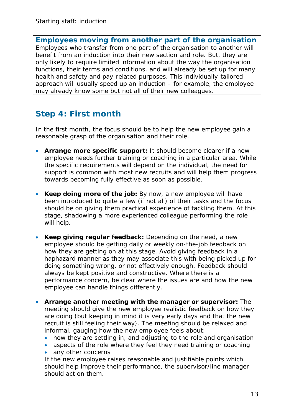**Employees moving from another part of the organisation** Employees who transfer from one part of the organisation to another will benefit from an induction into their new section and role. But, they are only likely to require limited information about the way the organisation functions, their terms and conditions, and will already be set up for many health and safety and pay-related purposes. This individually-tailored approach will usually speed up an induction – for example, the employee may already know some but not all of their new colleagues.

## <span id="page-12-0"></span>**Step 4: First month**

In the first month, the focus should be to help the new employee gain a reasonable grasp of the organisation and their role.

- **Arrange more specific support:** It should become clearer if a new employee needs further training or coaching in a particular area. While the specific requirements will depend on the individual, the need for support is common with most new recruits and will help them progress towards becoming fully effective as soon as possible.
- **Keep doing more of the job:** By now, a new employee will have been introduced to quite a few (if not all) of their tasks and the focus should be on giving them practical experience of tackling them. At this stage, shadowing a more experienced colleague performing the role will help.
- **Keep giving regular feedback:** Depending on the need, a new employee should be getting daily or weekly on-the-job feedback on how they are getting on at this stage. Avoid giving feedback in a haphazard manner as they may associate this with being picked up for doing something wrong, or not effectively enough. Feedback should always be kept positive and constructive. Where there is a performance concern, be clear where the issues are and how the new employee can handle things differently.
- **Arrange another meeting with the manager or supervisor:** The meeting should give the new employee realistic feedback on how they are doing (but keeping in mind it is very early days and that the new recruit is still feeling their way). The meeting should be relaxed and informal, gauging how the new employee feels about:
	- how they are settling in, and adjusting to the role and organisation
	- aspects of the role where they feel they need training or coaching
	- any other concerns

If the new employee raises reasonable and justifiable points which should help improve their performance, the supervisor/line manager should act on them.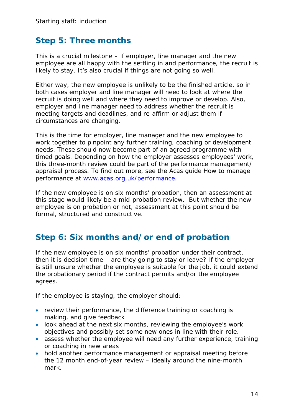### <span id="page-13-0"></span>**Step 5: Three months**

This is a crucial milestone – if employer, line manager and the new employee are all happy with the settling in and performance, the recruit is likely to stay. It's also crucial if things are not going so well.

Either way, the new employee is unlikely to be the finished article, so in both cases employer and line manager will need to look at where the recruit is doing well and where they need to improve or develop. Also, employer and line manager need to address whether the recruit is meeting targets and deadlines, and re-affirm or adjust them if circumstances are changing.

This is the time for employer, line manager and the new employee to work together to pinpoint any further training, coaching or development needs. These should now become part of an agreed programme with timed goals. Depending on how the employer assesses employees' work, this three-month review could be part of the performance management/ appraisal process. To find out more, see the Acas guide How to manage performance at [www.acas.org.uk/performance.](http://www.acas.org.uk/performance)

If the new employee is on six months' probation, then an assessment at this stage would likely be a mid-probation review. But whether the new employee is on probation or not, assessment at this point should be formal, structured and constructive.

### <span id="page-13-1"></span>**Step 6: Six months and/or end of probation**

If the new employee is on six months' probation under their contract, then it is decision time – are they going to stay or leave? If the employer is still unsure whether the employee is suitable for the job, it could extend the probationary period if the contract permits and/or the employee agrees.

If the employee is staying, the employer should:

- review their performance, the difference training or coaching is making, and give feedback
- look ahead at the next six months, reviewing the employee's work objectives and possibly set some new ones in line with their role.
- assess whether the employee will need any further experience, training or coaching in new areas
- hold another performance management or appraisal meeting before the 12 month end-of-year review – ideally around the nine-month mark.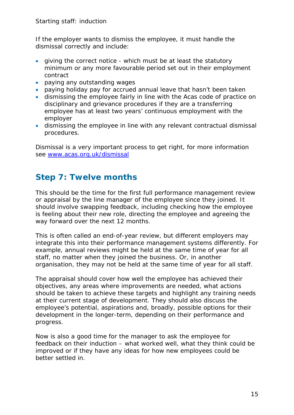If the employer wants to dismiss the employee, it must handle the dismissal correctly and include:

- giving the correct notice which must be at least the statutory minimum or any more favourable period set out in their employment contract
- paying any outstanding wages
- paying holiday pay for accrued annual leave that hasn't been taken
- dismissing the employee fairly in line with the Acas code of practice on disciplinary and grievance procedures if they are a transferring employee has at least two years' continuous employment with the employer
- dismissing the employee in line with any relevant contractual dismissal procedures.

Dismissal is a very important process to get right, for more information see [www.acas.org.uk/dismissal](http://www.acas.org.uk/dismissal)

### <span id="page-14-0"></span>**Step 7: Twelve months**

This should be the time for the first full performance management review or appraisal by the line manager of the employee since they joined. It should involve swapping feedback, including checking how the employee is feeling about their new role, directing the employee and agreeing the way forward over the next 12 months.

This is often called an end-of-year review, but different employers may integrate this into their performance management systems differently. For example, annual reviews might be held at the same time of year for all staff, no matter when they joined the business. Or, in another organisation, they may not be held at the same time of year for all staff.

The appraisal should cover how well the employee has achieved their objectives, any areas where improvements are needed, what actions should be taken to achieve these targets and highlight any training needs at their current stage of development. They should also discuss the employee's potential, aspirations and, broadly, possible options for their development in the longer-term, depending on their performance and progress.

Now is also a good time for the manager to ask the employee for feedback on their induction – what worked well, what they think could be improved or if they have any ideas for how new employees could be better settled in.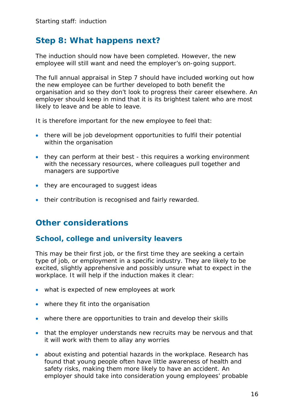### <span id="page-15-0"></span>**Step 8: What happens next?**

The induction should now have been completed. However, the new employee will still want and need the employer's on-going support.

The full annual appraisal in Step 7 should have included working out how the new employee can be further developed to both benefit the organisation and so they don't look to progress their career elsewhere. An employer should keep in mind that it is its brightest talent who are most likely to leave and be able to leave.

It is therefore important for the new employee to feel that:

- there will be job development opportunities to fulfil their potential within the organisation
- they can perform at their best this requires a working environment with the necessary resources, where colleagues pull together and managers are supportive
- they are encouraged to suggest ideas
- their contribution is recognised and fairly rewarded.

### <span id="page-15-1"></span>**Other considerations**

### <span id="page-15-2"></span>**School, college and university leavers**

This may be their first job, or the first time they are seeking a certain type of job, or employment in a specific industry. They are likely to be excited, slightly apprehensive and possibly unsure what to expect in the workplace. It will help if the induction makes it clear:

- what is expected of new employees at work
- where they fit into the organisation
- where there are opportunities to train and develop their skills
- that the employer understands new recruits may be nervous and that it will work with them to allay any worries
- about existing and potential hazards in the workplace. Research has found that young people often have little awareness of health and safety risks, making them more likely to have an accident. An employer should take into consideration young employees' probable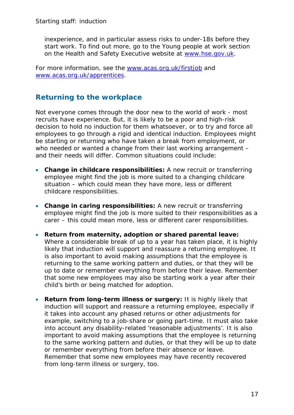inexperience, and in particular assess risks to under-18s before they start work. To find out more, go to the Young people at work section on the Health and Safety Executive website at [www.hse.gov.uk.](http://www.hse.gov.uk/)

For more information, see the [www.acas.org.uk/firstjob](http://www.acas.org.uk/firstjob) and [www.acas.org.uk/apprentices.](http://www.acas.org.uk/apprentices)

### <span id="page-16-0"></span>**Returning to the workplace**

Not everyone comes through the door new to the world of work - most recruits have experience. But, it is likely to be a poor and high-risk decision to hold no induction for them whatsoever, or to try and force all employees to go through a rigid and identical induction. Employees might be starting or returning who have taken a break from employment, or who needed or wanted a change from their last working arrangement and their needs will differ. Common situations could include:

- **Change in childcare responsibilities:** A new recruit or transferring employee might find the job is more suited to a changing childcare situation – which could mean they have more, less or different childcare responsibilities.
- **Change in caring responsibilities:** A new recruit or transferring employee might find the job is more suited to their responsibilities as a carer – this could mean more, less or different carer responsibilities.
- **Return from maternity, adoption or shared parental leave:**  Where a considerable break of up to a year has taken place, it is highly likely that induction will support and reassure a returning employee. It is also important to avoid making assumptions that the employee is returning to the same working pattern and duties, or that they will be up to date or remember everything from before their leave. Remember that some new employees may also be starting work a year after their child's birth or being matched for adoption.
- **Return from long-term illness or surgery:** It is highly likely that induction will support and reassure a returning employee, especially if it takes into account any phased returns or other adjustments for example, switching to a job-share or going part-time. It must also take into account any disability-related 'reasonable adjustments'. It is also important to avoid making assumptions that the employee is returning to the same working pattern and duties, or that they will be up to date or remember everything from before their absence or leave. Remember that some new employees may have recently recovered from long-term illness or surgery, too.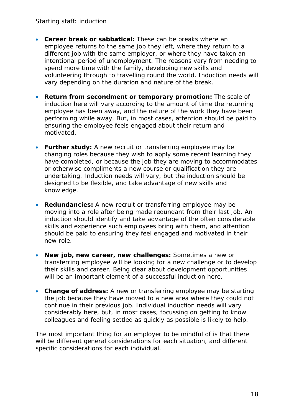- **Career break or sabbatical:** These can be breaks where an employee returns to the same job they left, where they return to a different job with the same employer, or where they have taken an intentional period of unemployment. The reasons vary from needing to spend more time with the family, developing new skills and volunteering through to travelling round the world. Induction needs will vary depending on the duration and nature of the break.
- **Return from secondment or temporary promotion:** The scale of induction here will vary according to the amount of time the returning employee has been away, and the nature of the work they have been performing while away. But, in most cases, attention should be paid to ensuring the employee feels engaged about their return and motivated.
- **Further study:** A new recruit or transferring employee may be changing roles because they wish to apply some recent learning they have completed, or because the job they are moving to accommodates or otherwise compliments a new course or qualification they are undertaking. Induction needs will vary, but the induction should be designed to be flexible, and take advantage of new skills and knowledge.
- **Redundancies:** A new recruit or transferring employee may be moving into a role after being made redundant from their last job. An induction should identify and take advantage of the often considerable skills and experience such employees bring with them, and attention should be paid to ensuring they feel engaged and motivated in their new role.
- **New job, new career, new challenges:** Sometimes a new or transferring employee will be looking for a new challenge or to develop their skills and career. Being clear about development opportunities will be an important element of a successful induction here.
- **Change of address:** A new or transferring employee may be starting the job because they have moved to a new area where they could not continue in their previous job. Individual induction needs will vary considerably here, but, in most cases, focussing on getting to know colleagues and feeling settled as quickly as possible is likely to help.

The most important thing for an employer to be mindful of is that there will be different general considerations for each situation, and different specific considerations for each individual.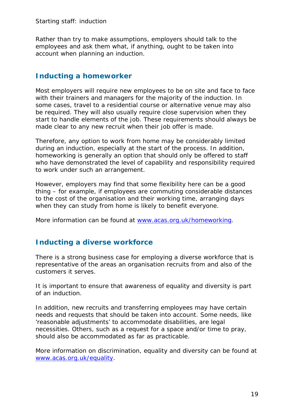Rather than try to make assumptions, employers should talk to the employees and ask them what, if anything, ought to be taken into account when planning an induction.

### <span id="page-18-0"></span>**Inducting a homeworker**

Most employers will require new employees to be on site and face to face with their trainers and managers for the majority of the induction. In some cases, travel to a residential course or alternative venue may also be required. They will also usually require close supervision when they start to handle elements of the job. These requirements should always be made clear to any new recruit when their job offer is made.

Therefore, any option to work from home may be considerably limited during an induction, especially at the start of the process. In addition, homeworking is generally an option that should only be offered to staff who have demonstrated the level of capability and responsibility required to work under such an arrangement.

However, employers may find that some flexibility here can be a good thing – for example, if employees are commuting considerable distances to the cost of the organisation and their working time, arranging days when they can study from home is likely to benefit everyone.

More information can be found at [www.acas.org.uk/homeworking.](http://www.acas.org.uk/homeworking)

### <span id="page-18-1"></span>**Inducting a diverse workforce**

There is a strong business case for employing a diverse workforce that is representative of the areas an organisation recruits from and also of the customers it serves.

It is important to ensure that awareness of equality and diversity is part of an induction.

In addition, new recruits and transferring employees may have certain needs and requests that should be taken into account. Some needs, like 'reasonable adjustments' to accommodate disabilities, are legal necessities. Others, such as a request for a space and/or time to pray, should also be accommodated as far as practicable.

More information on discrimination, equality and diversity can be found at [www.acas.org.uk/equality.](http://www.acas.org.uk/equality)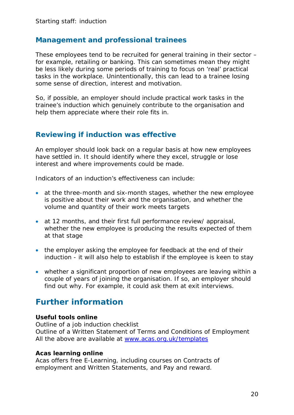### <span id="page-19-0"></span>**Management and professional trainees**

These employees tend to be recruited for general training in their sector – for example, retailing or banking. This can sometimes mean they might be less likely during some periods of training to focus on 'real' practical tasks in the workplace. Unintentionally, this can lead to a trainee losing some sense of direction, interest and motivation.

So, if possible, an employer should include practical work tasks in the trainee's induction which genuinely contribute to the organisation and help them appreciate where their role fits in.

### <span id="page-19-1"></span>**Reviewing if induction was effective**

An employer should look back on a regular basis at how new employees have settled in. It should identify where they excel, struggle or lose interest and where improvements could be made.

Indicators of an induction's effectiveness can include:

- at the three-month and six-month stages, whether the new employee is positive about their work and the organisation, and whether the volume and quantity of their work meets targets
- at 12 months, and their first full performance review/ appraisal, whether the new employee is producing the results expected of them at that stage
- the employer asking the employee for feedback at the end of their induction - it will also help to establish if the employee is keen to stay
- whether a significant proportion of new employees are leaving within a couple of years of joining the organisation. If so, an employer should find out why. For example, it could ask them at exit interviews.

### <span id="page-19-2"></span>**Further information**

#### **Useful tools online**

Outline of a job induction checklist Outline of a Written Statement of Terms and Conditions of Employment All the above are available at [www.acas.org.uk/templates](http://www.acas.org.uk/templates)

#### **Acas learning online**

Acas offers free E-Learning, including courses on Contracts of employment and Written Statements, and Pay and reward.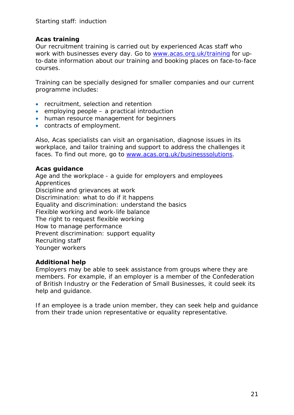#### **Acas training**

Our recruitment training is carried out by experienced Acas staff who work with businesses every day. Go to [www.acas.org.uk/training](http://www.acas.org.uk/training) for upto-date information about our training and booking places on face-to-face courses.

Training can be specially designed for smaller companies and our current programme includes:

- recruitment, selection and retention
- employing people a practical introduction
- human resource management for beginners
- contracts of employment.

Also, Acas specialists can visit an organisation, diagnose issues in its workplace, and tailor training and support to address the challenges it faces. To find out more, go to [www.acas.org.uk/businesssolutions.](http://www.acas.org.uk/businesssolutions)

#### **Acas guidance**

Age and the workplace - a guide for employers and employees Apprentices Discipline and grievances at work Discrimination: what to do if it happens Equality and discrimination: understand the basics Flexible working and work-life balance The right to request flexible working How to manage performance Prevent discrimination: support equality Recruiting staff Younger workers

#### **Additional help**

Employers may be able to seek assistance from groups where they are members. For example, if an employer is a member of the Confederation of British Industry or the Federation of Small Businesses, it could seek its help and guidance.

If an employee is a trade union member, they can seek help and guidance from their trade union representative or equality representative.